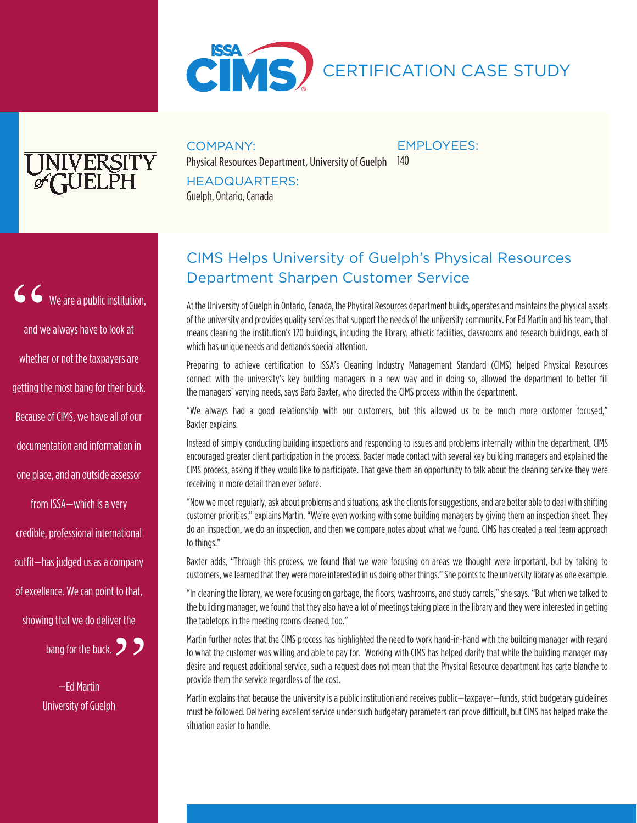



## COMPANY: Physical Resources Department, University of Guelph 140 **EMPLOYEES:**

HEADQUARTERS: Guelph, Ontario, Canada

We are a public institution, and we always have to look at whether or not the taxpayers are getting the most bang for their buck. Because of CIMS, we have all of our documentation and information in one place, and an outside assessor **66**<br>and w

from ISSA—which is a very credible, professional international outfit—has judged us as a company of excellence. We can point to that, showing that we do deliver the



—Ed Martin University of Guelph

## CIMS Helps University of Guelph's Physical Resources Department Sharpen Customer Service

At the University of Guelph in Ontario, Canada, the Physical Resources department builds, operates and maintains the physical assets of the university and provides quality services that support the needs of the university community. For Ed Martin and his team, that means cleaning the institution's 120 buildings, including the library, athletic facilities, classrooms and research buildings, each of which has unique needs and demands special attention.

Preparing to achieve certification to ISSA's Cleaning Industry Management Standard (CIMS) helped Physical Resources connect with the university's key building managers in a new way and in doing so, allowed the department to better fill the managers' varying needs, says Barb Baxter, who directed the CIMS process within the department.

"We always had a good relationship with our customers, but this allowed us to be much more customer focused," Baxter explains.

Instead of simply conducting building inspections and responding to issues and problems internally within the department, CIMS encouraged greater client participation in the process. Baxter made contact with several key building managers and explained the CIMS process, asking if they would like to participate. That gave them an opportunity to talk about the cleaning service they were receiving in more detail than ever before.

"Now we meet regularly, ask about problems and situations, ask the clients for suggestions, and are better able to deal with shifting customer priorities," explains Martin. "We're even working with some building managers by giving them an inspection sheet. They do an inspection, we do an inspection, and then we compare notes about what we found. CIMS has created a real team approach to things."

Baxter adds, "Through this process, we found that we were focusing on areas we thought were important, but by talking to customers, we learned that they were more interested in us doing other things." She points to the university library as one example.

"In cleaning the library, we were focusing on garbage, the floors, washrooms, and study carrels," she says. "But when we talked to the building manager, we found that they also have a lot of meetings taking place in the library and they were interested in getting the tabletops in the meeting rooms cleaned, too."

Martin further notes that the CIMS process has highlighted the need to work hand-in-hand with the building manager with regard to what the customer was willing and able to pay for. Working with CIMS has helped clarify that while the building manager may desire and request additional service, such a request does not mean that the Physical Resource department has carte blanche to provide them the service regardless of the cost.

Martin explains that because the university is a public institution and receives public—taxpayer—funds, strict budgetary guidelines must be followed. Delivering excellent service under such budgetary parameters can prove difficult, but CIMS has helped make the situation easier to handle.